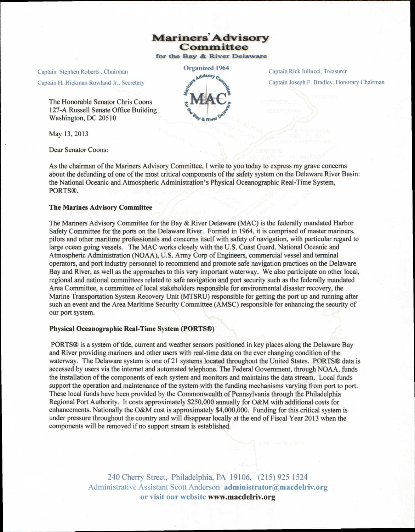# **Mariners' Advisory Committee**

for the Bay & River Delaware

Captain Stephen Roberts, Chairman

Captain H. Hickman Rowland Jr., Secretary

The Honorable Senator Chris Coons 127-A Russell Senate Office Building Washington, DC 20510

May 13, 2013

Dear Senator Coons:

Organized 1964 **<sup>p</sup>golsory** 

Captain Rick luliucci. Treasurer Captain Joseph F. Bradley, Honorary Chairman

As the chairman of the Mariners Advisory Committee, I write to you today to express my grave concerns about the defunding of one of the most critical components of the safety system on the Delaware River Basin: the National Oceanic and Atmospheric Administration's Physical Oceanographic Real-Time System, PORTS®.

#### **The Marines Advisory Committee**

The Mariners Advisory Committee for the Bay & River Delaware (MAC) is the federally mandated Harbor Safety Committee for the ports on the Delaware River. Formed in 1964, it is comprised of master mariners, pilots and other maritime professionals and concerns itself with safety of navigation, with particular regard to large ocean going vessels. The MAC works closely with the U.S. Coast Guard, National Oceanic and Atmospheric Administration (NOAA), U.S. Army Corp of Engineers, commercial vessel and terminal operators, and port industry personnel to recommend and promote safe navigation practices on the Delaware Bay and River, as well as the approaches to this very important waterway. We also participate on other local, regional and national committees related to safe navigation and port security such as the federally mandated Area Committee, a committee of local stakeholders responsible for environmental disaster recovery, the Marine Transportation System Recovery Unit (MTSRU) responsible for getting the port up and running after such an event and the Area Maritime Security Committee (AMSC) responsible for enhancing the security of our port system.

#### **Physical Oceanographic Real-Time System (PORTS®)**

PORTS® is a system of tide, current and weather sensors positioned in key places along the Delaware Bay and River providing mariners and other users with real-time data on the ever changing condition of the waterway. The Delaware system is one of 21 systems located throughout the United States. PORTS® data is accessed by users via the internet and automated telephone. The Federal Government, through NOAA, funds the installation of the components of each system and monitors and maintains the data stream. Local funds support the operation and maintenance of the system with the funding mechanisms varying from port to port. These local funds have been provided by the Commonwealth of Pennsylvania through the Philadelphia Regional Port Authority. It costs approximately \$250,000 annually for O&M with additional costs for enhancements. Nationally the O&M cost is approximately \$4,000,000. Funding for this critical system is under pressure throughout the country and will disappear locally at the end of Fiscal Year 2013 when the components will be removed if no support stream is established.

> 240 Cherry Street, Philadelphia, PA 19106, (215) 925 1524 Administrative Assistant Scott Anderson **administrator@macdelriv.org or visit our websitewww.macdelriv.org**